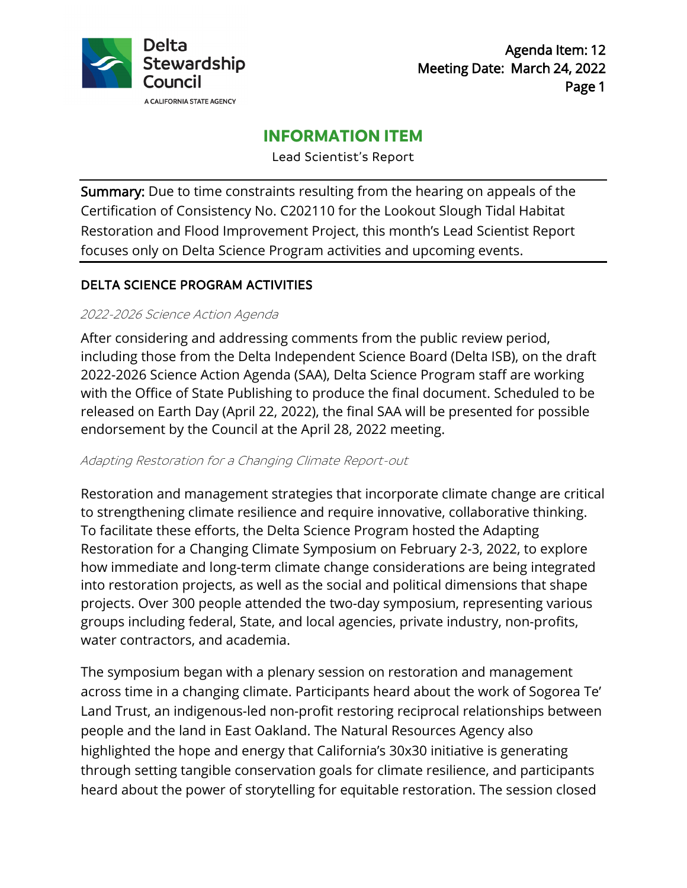

# **INFORMATION ITEM**

Lead Scientist's Report

Summary: Due to time constraints resulting from the hearing on appeals of the Certification of Consistency No. C202110 for the Lookout Slough Tidal Habitat Restoration and Flood Improvement Project, this month's Lead Scientist Report focuses only on Delta Science Program activities and upcoming events.

### DELTA SCIENCE PROGRAM ACTIVITIES

### 2022-2026 Science Action Agenda

After considering and addressing comments from the public review period, including those from the Delta Independent Science Board (Delta ISB), on the draft 2022-2026 Science Action Agenda (SAA), Delta Science Program staff are working with the Office of State Publishing to produce the final document. Scheduled to be released on Earth Day (April 22, 2022), the final SAA will be presented for possible endorsement by the Council at the April 28, 2022 meeting.

### Adapting Restoration for a Changing Climate Report-out

Restoration and management strategies that incorporate climate change are critical to strengthening climate resilience and require innovative, collaborative thinking. To facilitate these efforts, the Delta Science Program hosted the Adapting Restoration for a Changing Climate Symposium on February 2-3, 2022, to explore how immediate and long-term climate change considerations are being integrated into restoration projects, as well as the social and political dimensions that shape projects. Over 300 people attended the two-day symposium, representing various groups including federal, State, and local agencies, private industry, non-profits, water contractors, and academia.

The symposium began with a plenary session on restoration and management across time in a changing climate. Participants heard about the work of Sogorea Te' Land Trust, an indigenous-led non-profit restoring reciprocal relationships between people and the land in East Oakland. The Natural Resources Agency also highlighted the hope and energy that California's 30x30 initiative is generating through setting tangible conservation goals for climate resilience, and participants heard about the power of storytelling for equitable restoration. The session closed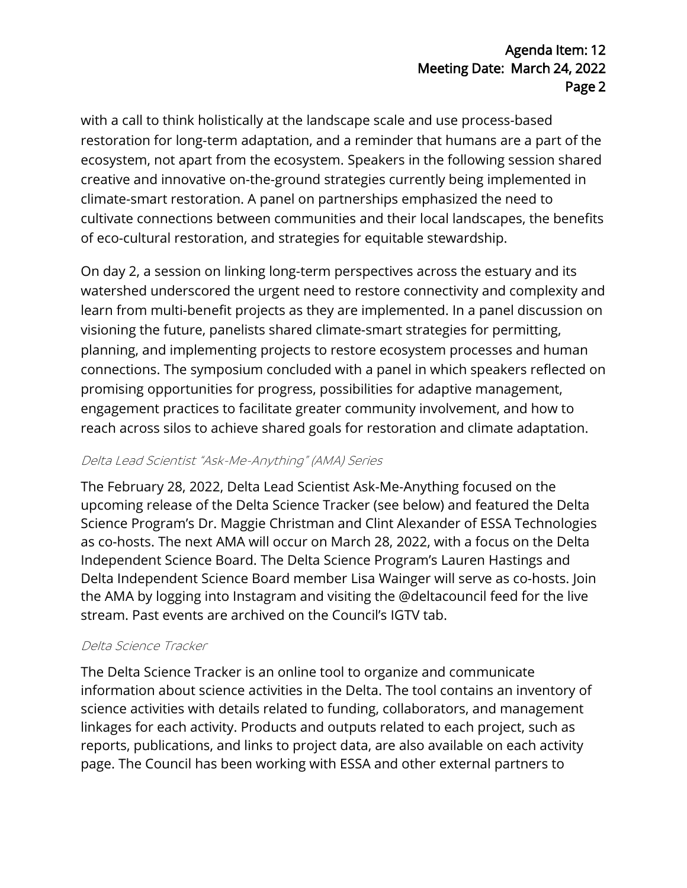# Agenda Item: 12 Meeting Date: March 24, 2022 Page 2

with a call to think holistically at the landscape scale and use process-based restoration for long-term adaptation, and a reminder that humans are a part of the ecosystem, not apart from the ecosystem. Speakers in the following session shared creative and innovative on-the-ground strategies currently being implemented in climate-smart restoration. A panel on partnerships emphasized the need to cultivate connections between communities and their local landscapes, the benefits of eco-cultural restoration, and strategies for equitable stewardship.

On day 2, a session on linking long-term perspectives across the estuary and its watershed underscored the urgent need to restore connectivity and complexity and learn from multi-benefit projects as they are implemented. In a panel discussion on visioning the future, panelists shared climate-smart strategies for permitting, planning, and implementing projects to restore ecosystem processes and human connections. The symposium concluded with a panel in which speakers reflected on promising opportunities for progress, possibilities for adaptive management, engagement practices to facilitate greater community involvement, and how to reach across silos to achieve shared goals for restoration and climate adaptation.

# Delta Lead Scientist "Ask-Me-Anything" (AMA) Series

The February 28, 2022, Delta Lead Scientist Ask-Me-Anything focused on the upcoming release of the Delta Science Tracker (see below) and featured the Delta Science Program's Dr. Maggie Christman and Clint Alexander of ESSA Technologies as co-hosts. The next AMA will occur on March 28, 2022, with a focus on the Delta Independent Science Board. The Delta Science Program's Lauren Hastings and Delta Independent Science Board member Lisa Wainger will serve as co-hosts. Join the AMA by logging into Instagram and visiting the @deltacouncil feed for the live stream. Past events are archived on the Council's IGTV tab.

# Delta Science Tracker

The Delta Science Tracker is an online tool to organize and communicate information about science activities in the Delta. The tool contains an inventory of science activities with details related to funding, collaborators, and management linkages for each activity. Products and outputs related to each project, such as reports, publications, and links to project data, are also available on each activity page. The Council has been working with ESSA and other external partners to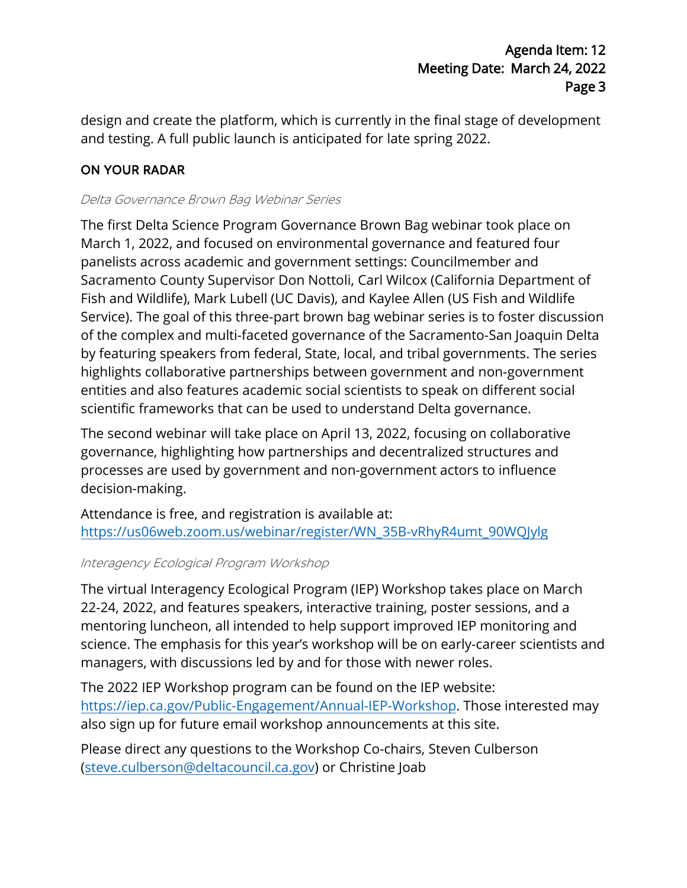design and create the platform, which is currently in the final stage of development and testing. A full public launch is anticipated for late spring 2022.

# ON YOUR RADAR

### Delta Governance Brown Bag Webinar Series

The first Delta Science Program Governance Brown Bag webinar took place on March 1, 2022, and focused on environmental governance and featured four panelists across academic and government settings: Councilmember and Sacramento County Supervisor Don Nottoli, Carl Wilcox (California Department of Fish and Wildlife), Mark Lubell (UC Davis), and Kaylee Allen (US Fish and Wildlife Service). The goal of this three-part brown bag webinar series is to foster discussion of the complex and multi-faceted governance of the Sacramento-San Joaquin Delta by featuring speakers from federal, State, local, and tribal governments. The series highlights collaborative partnerships between government and non-government entities and also features academic social scientists to speak on different social scientific frameworks that can be used to understand Delta governance.

The second webinar will take place on April 13, 2022, focusing on collaborative governance, highlighting how partnerships and decentralized structures and processes are used by government and non-government actors to influence decision-making.

Attendance is free, and registration is available at: [https://us06web.zoom.us/webinar/register/WN\\_35B-vRhyR4umt\\_90WQJylg](https://us06web.zoom.us/webinar/register/WN_35B-vRhyR4umt_90WQJylg)

### Interagency Ecological Program Workshop

The virtual Interagency Ecological Program (IEP) Workshop takes place on March 22-24, 2022, and features speakers, interactive training, poster sessions, and a mentoring luncheon, all intended to help support improved IEP monitoring and science. The emphasis for this year's workshop will be on early-career scientists and managers, with discussions led by and for those with newer roles.

The 2022 IEP Workshop program can be found on the IEP website: [https://iep.ca.gov/Public-Engagement/Annual-IEP-Workshop.](https://iep.ca.gov/Public-Engagement/Annual-IEP-Workshop) Those interested may also sign up for future email workshop announcements at this site.

Please direct any questions to the Workshop Co-chairs, Steven Culberson [\(steve.culberson@deltacouncil.ca.gov\)](mailto:steve.culberson@deltacouncil.ca.gov) or Christine Joab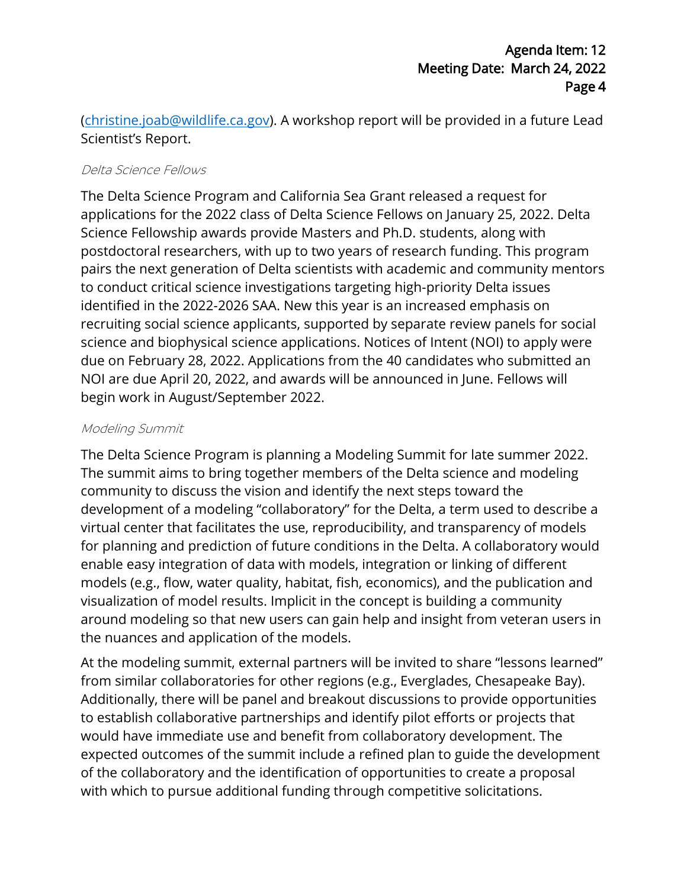[\(christine.joab@wildlife.ca.gov\)](mailto:christine.joab@wildlife.ca.gov). A workshop report will be provided in a future Lead Scientist's Report.

### Delta Science Fellows

The Delta Science Program and California Sea Grant released a request for applications for the 2022 class of Delta Science Fellows on January 25, 2022. Delta Science Fellowship awards provide Masters and Ph.D. students, along with postdoctoral researchers, with up to two years of research funding. This program pairs the next generation of Delta scientists with academic and community mentors to conduct critical science investigations targeting high-priority Delta issues identified in the 2022-2026 SAA. New this year is an increased emphasis on recruiting social science applicants, supported by separate review panels for social science and biophysical science applications. Notices of Intent (NOI) to apply were due on February 28, 2022. Applications from the 40 candidates who submitted an NOI are due April 20, 2022, and awards will be announced in June. Fellows will begin work in August/September 2022.

### Modeling Summit

The Delta Science Program is planning a Modeling Summit for late summer 2022. The summit aims to bring together members of the Delta science and modeling community to discuss the vision and identify the next steps toward the development of a modeling "collaboratory" for the Delta, a term used to describe a virtual center that facilitates the use, reproducibility, and transparency of models for planning and prediction of future conditions in the Delta. A collaboratory would enable easy integration of data with models, integration or linking of different models (e.g., flow, water quality, habitat, fish, economics), and the publication and visualization of model results. Implicit in the concept is building a community around modeling so that new users can gain help and insight from veteran users in the nuances and application of the models.

At the modeling summit, external partners will be invited to share "lessons learned" from similar collaboratories for other regions (e.g., Everglades, Chesapeake Bay). Additionally, there will be panel and breakout discussions to provide opportunities to establish collaborative partnerships and identify pilot efforts or projects that would have immediate use and benefit from collaboratory development. The expected outcomes of the summit include a refined plan to guide the development of the collaboratory and the identification of opportunities to create a proposal with which to pursue additional funding through competitive solicitations.